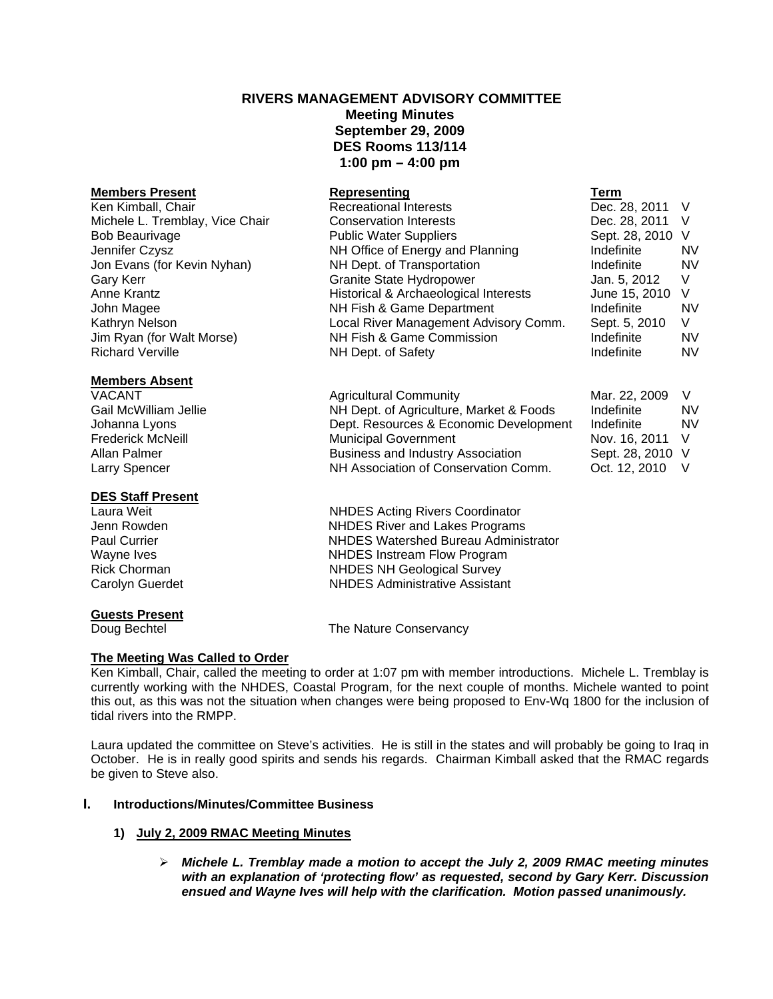# **RIVERS MANAGEMENT ADVISORY COMMITTEE Meeting Minutes September 29, 2009 DES Rooms 113/114 1:00 pm – 4:00 pm**

## **Members Absent**

# **DES Staff Present**

# **Guests Present**

# Doug Bechtel **The Nature Conservancy**

# **The Meeting Was Called to Order**

Ken Kimball, Chair, called the meeting to order at 1:07 pm with member introductions. Michele L. Tremblay is currently working with the NHDES, Coastal Program, for the next couple of months. Michele wanted to point this out, as this was not the situation when changes were being proposed to Env-Wq 1800 for the inclusion of tidal rivers into the RMPP.

Laura updated the committee on Steve's activities. He is still in the states and will probably be going to Iraq in October. He is in really good spirits and sends his regards. Chairman Kimball asked that the RMAC regards be given to Steve also.

# **I. Introductions/Minutes/Committee Business**

# **1) July 2, 2009 RMAC Meeting Minutes**

¾ *Michele L. Tremblay made a motion to accept the July 2, 2009 RMAC meeting minutes with an explanation of 'protecting flow' as requested, second by Gary Kerr. Discussion ensued and Wayne Ives will help with the clarification. Motion passed unanimously.* 

| <b>Members Present</b>          | Representing                          | Term             |           |
|---------------------------------|---------------------------------------|------------------|-----------|
| Ken Kimball, Chair              | <b>Recreational Interests</b>         | Dec. 28, 2011 V  |           |
| Michele L. Tremblay, Vice Chair | <b>Conservation Interests</b>         | Dec. 28, 2011    | - V       |
| <b>Bob Beaurivage</b>           | <b>Public Water Suppliers</b>         | Sept. 28, 2010 V |           |
| Jennifer Czysz                  | NH Office of Energy and Planning      | Indefinite       | <b>NV</b> |
| Jon Evans (for Kevin Nyhan)     | NH Dept. of Transportation            | Indefinite       | <b>NV</b> |
| Gary Kerr                       | <b>Granite State Hydropower</b>       | Jan. 5, 2012     | V         |
| Anne Krantz                     | Historical & Archaeological Interests | June 15, 2010    | - V       |
| John Magee                      | NH Fish & Game Department             | Indefinite       | <b>NV</b> |
| Kathryn Nelson                  | Local River Management Advisory Comm. | Sept. 5, 2010    | V         |
| Jim Ryan (for Walt Morse)       | NH Fish & Game Commission             | Indefinite       | NV.       |
| <b>Richard Verville</b>         | NH Dept. of Safety                    | Indefinite       | NV.       |

VACANT **Marticular Agricultural Community** Mar. 22, 2009 V Gail McWilliam Jellie **NH Dept. of Agriculture, Market & Foods** Indefinite NV Johanna Lyons Dept. Resources & Economic Development Indefinite NV Frederick McNeill **Municipal Government** Nov. 16, 2011 V Allan Palmer **Business and Industry Association** Sept. 28, 2010 V Larry Spencer NH Association of Conservation Comm. Oct. 12, 2010 V

Laura Weit **NHDES** Acting Rivers Coordinator Jenn Rowden NHDES River and Lakes Programs NHDES Watershed Bureau Administrator Wayne Ives **NHDES** Instream Flow Program Rick Chorman **NHDES NH** Geological Survey Carolyn Guerdet NHDES Administrative Assistant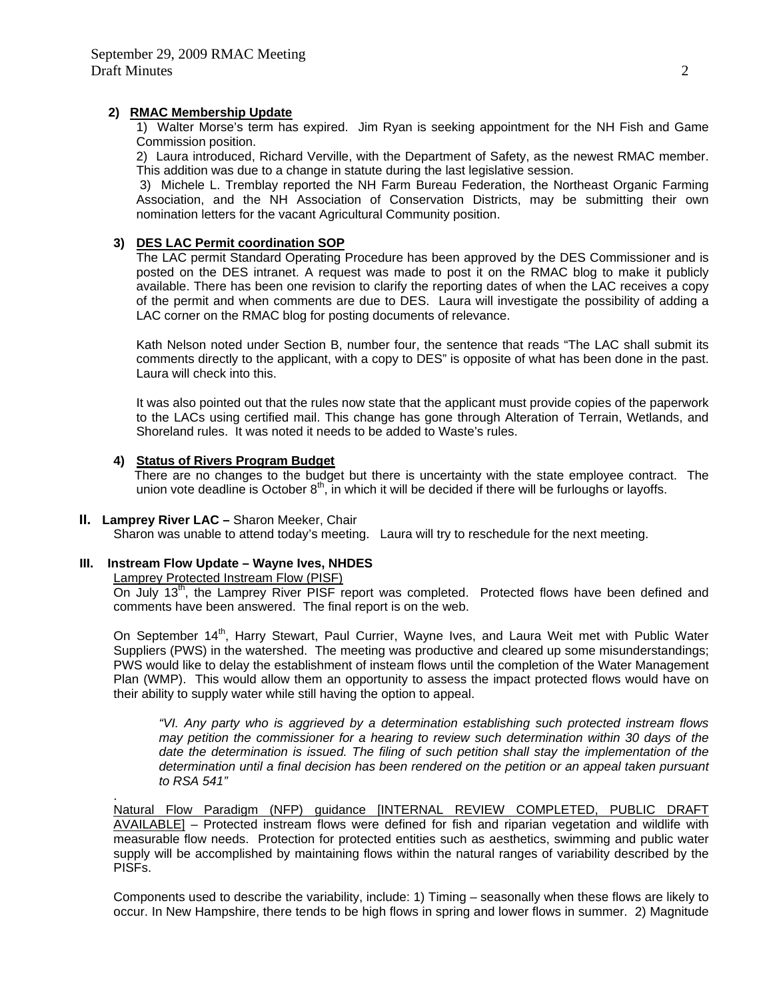#### **2) RMAC Membership Update**

1) Walter Morse's term has expired. Jim Ryan is seeking appointment for the NH Fish and Game Commission position.

2) Laura introduced, Richard Verville, with the Department of Safety, as the newest RMAC member. This addition was due to a change in statute during the last legislative session.

 3) Michele L. Tremblay reported the NH Farm Bureau Federation, the Northeast Organic Farming Association, and the NH Association of Conservation Districts, may be submitting their own nomination letters for the vacant Agricultural Community position.

### **3) DES LAC Permit coordination SOP**

The LAC permit Standard Operating Procedure has been approved by the DES Commissioner and is posted on the DES intranet. A request was made to post it on the RMAC blog to make it publicly available. There has been one revision to clarify the reporting dates of when the LAC receives a copy of the permit and when comments are due to DES. Laura will investigate the possibility of adding a LAC corner on the RMAC blog for posting documents of relevance.

 Kath Nelson noted under Section B, number four, the sentence that reads "The LAC shall submit its comments directly to the applicant, with a copy to DES" is opposite of what has been done in the past. Laura will check into this.

It was also pointed out that the rules now state that the applicant must provide copies of the paperwork to the LACs using certified mail. This change has gone through Alteration of Terrain, Wetlands, and Shoreland rules. It was noted it needs to be added to Waste's rules.

## **4) Status of Rivers Program Budget**

 There are no changes to the budget but there is uncertainty with the state employee contract. The union vote deadline is October  $8<sup>th</sup>$ , in which it will be decided if there will be furloughs or layoffs.

#### **II. Lamprey River LAC –** Sharon Meeker, Chair

Sharon was unable to attend today's meeting. Laura will try to reschedule for the next meeting.

### **III. Instream Flow Update – Wayne Ives, NHDES**

Lamprey Protected Instream Flow (PISF)

.

On July 13<sup>th</sup>, the Lamprey River PISF report was completed. Protected flows have been defined and comments have been answered. The final report is on the web.

On September 14<sup>th</sup>, Harry Stewart, Paul Currier, Wayne Ives, and Laura Weit met with Public Water Suppliers (PWS) in the watershed. The meeting was productive and cleared up some misunderstandings; PWS would like to delay the establishment of insteam flows until the completion of the Water Management Plan (WMP). This would allow them an opportunity to assess the impact protected flows would have on their ability to supply water while still having the option to appeal.

*"VI. Any party who is aggrieved by a determination establishing such protected instream flows may petition the commissioner for a hearing to review such determination within 30 days of the*  date the determination is issued. The filing of such petition shall stay the implementation of the *determination until a final decision has been rendered on the petition or an appeal taken pursuant to RSA 541"* 

Natural Flow Paradigm (NFP) guidance [INTERNAL REVIEW COMPLETED, PUBLIC DRAFT AVAILABLE] – Protected instream flows were defined for fish and riparian vegetation and wildlife with measurable flow needs. Protection for protected entities such as aesthetics, swimming and public water supply will be accomplished by maintaining flows within the natural ranges of variability described by the PISFs.

Components used to describe the variability, include: 1) Timing – seasonally when these flows are likely to occur. In New Hampshire, there tends to be high flows in spring and lower flows in summer. 2) Magnitude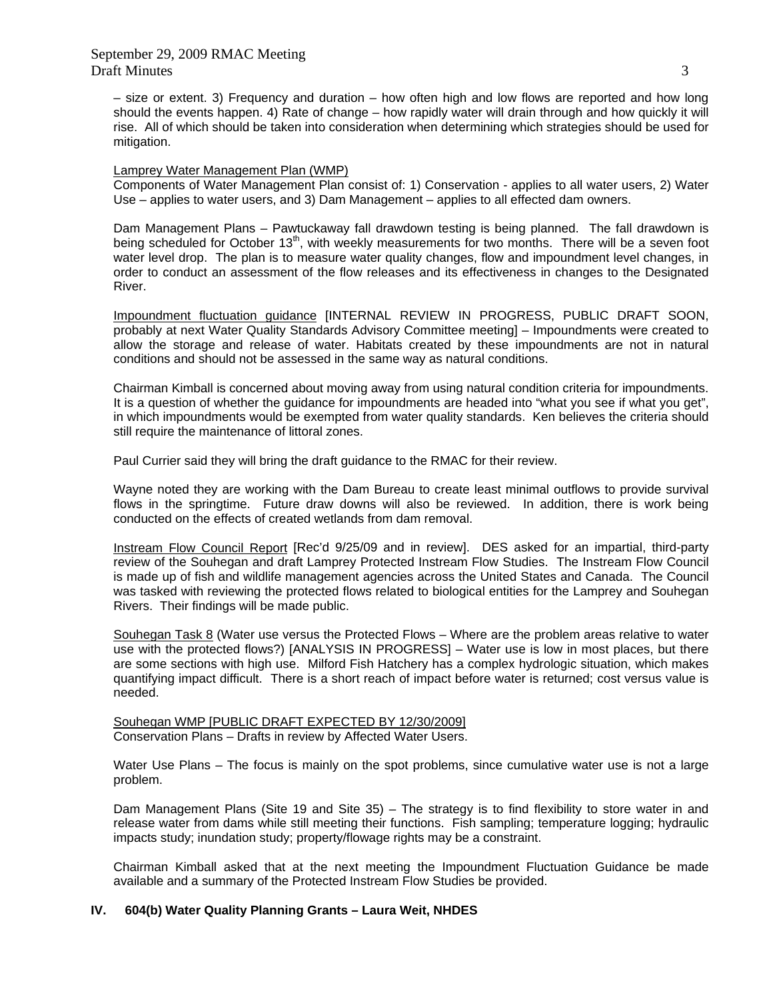– size or extent. 3) Frequency and duration – how often high and low flows are reported and how long should the events happen. 4) Rate of change – how rapidly water will drain through and how quickly it will rise. All of which should be taken into consideration when determining which strategies should be used for mitigation.

#### Lamprey Water Management Plan (WMP)

Components of Water Management Plan consist of: 1) Conservation - applies to all water users, 2) Water Use – applies to water users, and 3) Dam Management – applies to all effected dam owners.

Dam Management Plans – Pawtuckaway fall drawdown testing is being planned. The fall drawdown is being scheduled for October 13<sup>th</sup>, with weekly measurements for two months. There will be a seven foot water level drop. The plan is to measure water quality changes, flow and impoundment level changes, in order to conduct an assessment of the flow releases and its effectiveness in changes to the Designated River.

Impoundment fluctuation guidance [INTERNAL REVIEW IN PROGRESS, PUBLIC DRAFT SOON, probably at next Water Quality Standards Advisory Committee meeting] – Impoundments were created to allow the storage and release of water. Habitats created by these impoundments are not in natural conditions and should not be assessed in the same way as natural conditions.

Chairman Kimball is concerned about moving away from using natural condition criteria for impoundments. It is a question of whether the guidance for impoundments are headed into "what you see if what you get", in which impoundments would be exempted from water quality standards. Ken believes the criteria should still require the maintenance of littoral zones.

Paul Currier said they will bring the draft guidance to the RMAC for their review.

Wayne noted they are working with the Dam Bureau to create least minimal outflows to provide survival flows in the springtime. Future draw downs will also be reviewed. In addition, there is work being conducted on the effects of created wetlands from dam removal.

Instream Flow Council Report [Rec'd 9/25/09 and in review]. DES asked for an impartial, third-party review of the Souhegan and draft Lamprey Protected Instream Flow Studies. The Instream Flow Council is made up of fish and wildlife management agencies across the United States and Canada. The Council was tasked with reviewing the protected flows related to biological entities for the Lamprey and Souhegan Rivers. Their findings will be made public.

Souhegan Task 8 (Water use versus the Protected Flows – Where are the problem areas relative to water use with the protected flows?) [ANALYSIS IN PROGRESS] – Water use is low in most places, but there are some sections with high use. Milford Fish Hatchery has a complex hydrologic situation, which makes quantifying impact difficult. There is a short reach of impact before water is returned; cost versus value is needed.

Souhegan WMP [PUBLIC DRAFT EXPECTED BY 12/30/2009] Conservation Plans – Drafts in review by Affected Water Users.

Water Use Plans – The focus is mainly on the spot problems, since cumulative water use is not a large problem.

Dam Management Plans (Site 19 and Site 35) – The strategy is to find flexibility to store water in and release water from dams while still meeting their functions. Fish sampling; temperature logging; hydraulic impacts study; inundation study; property/flowage rights may be a constraint.

Chairman Kimball asked that at the next meeting the Impoundment Fluctuation Guidance be made available and a summary of the Protected Instream Flow Studies be provided.

#### **IV. 604(b) Water Quality Planning Grants – Laura Weit, NHDES**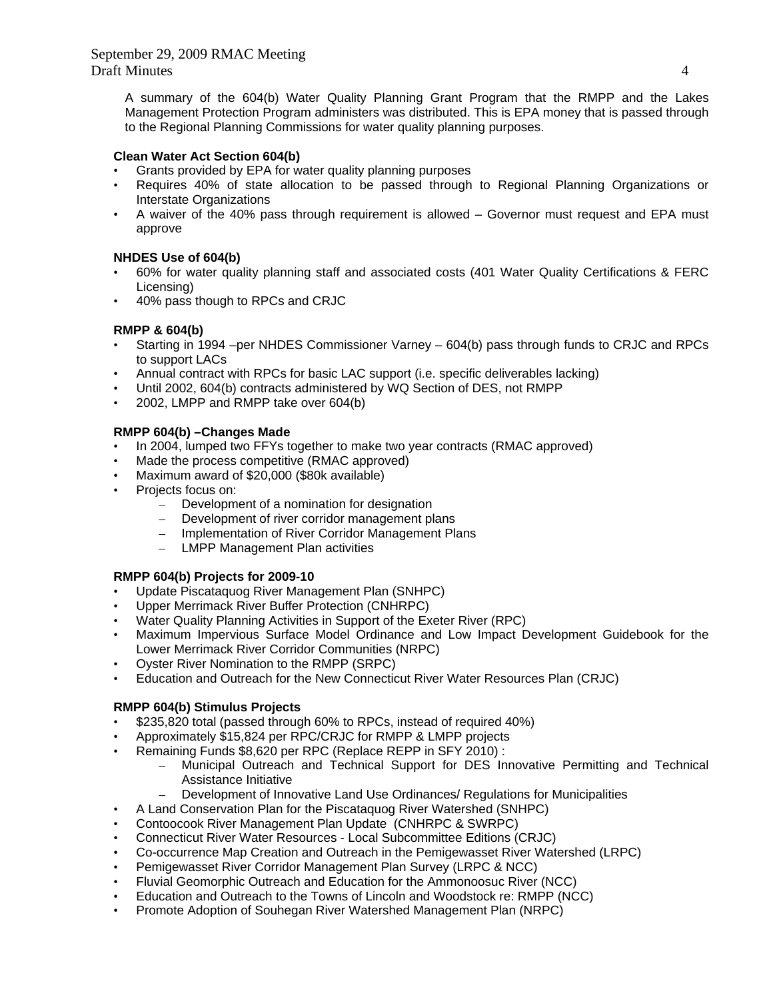A summary of the 604(b) Water Quality Planning Grant Program that the RMPP and the Lakes Management Protection Program administers was distributed. This is EPA money that is passed through to the Regional Planning Commissions for water quality planning purposes.

# **Clean Water Act Section 604(b)**

- Grants provided by EPA for water quality planning purposes
- Requires 40% of state allocation to be passed through to Regional Planning Organizations or Interstate Organizations
- A waiver of the 40% pass through requirement is allowed Governor must request and EPA must approve

## **NHDES Use of 604(b)**

- 60% for water quality planning staff and associated costs (401 Water Quality Certifications & FERC Licensing)
- 40% pass though to RPCs and CRJC

## **RMPP & 604(b)**

- Starting in 1994 –per NHDES Commissioner Varney 604(b) pass through funds to CRJC and RPCs to support LACs
- Annual contract with RPCs for basic LAC support (i.e. specific deliverables lacking)
- Until 2002, 604(b) contracts administered by WQ Section of DES, not RMPP
- 2002, LMPP and RMPP take over 604(b)

## **RMPP 604(b) –Changes Made**

- In 2004, lumped two FFYs together to make two year contracts (RMAC approved)
- Made the process competitive (RMAC approved)
- Maximum award of \$20,000 (\$80k available)
- Projects focus on:
	- Development of a nomination for designation
	- Development of river corridor management plans
	- Implementation of River Corridor Management Plans
	- LMPP Management Plan activities

# **RMPP 604(b) Projects for 2009-10**

- Update Piscataquog River Management Plan (SNHPC)
- Upper Merrimack River Buffer Protection (CNHRPC)
- Water Quality Planning Activities in Support of the Exeter River (RPC)
- Maximum Impervious Surface Model Ordinance and Low Impact Development Guidebook for the Lower Merrimack River Corridor Communities (NRPC)
- Oyster River Nomination to the RMPP (SRPC)
- Education and Outreach for the New Connecticut River Water Resources Plan (CRJC)

# **RMPP 604(b) Stimulus Projects**

- \$235,820 total (passed through 60% to RPCs, instead of required 40%)
- Approximately \$15,824 per RPC/CRJC for RMPP & LMPP projects
- Remaining Funds \$8,620 per RPC (Replace REPP in SFY 2010) :
	- Municipal Outreach and Technical Support for DES Innovative Permitting and Technical Assistance Initiative
	- Development of Innovative Land Use Ordinances/ Regulations for Municipalities
- A Land Conservation Plan for the Piscataquog River Watershed (SNHPC)
- Contoocook River Management Plan Update (CNHRPC & SWRPC)
- Connecticut River Water Resources Local Subcommittee Editions (CRJC)
- Co-occurrence Map Creation and Outreach in the Pemigewasset River Watershed (LRPC)
- Pemigewasset River Corridor Management Plan Survey (LRPC & NCC)
- Fluvial Geomorphic Outreach and Education for the Ammonoosuc River (NCC)
- Education and Outreach to the Towns of Lincoln and Woodstock re: RMPP (NCC)
- Promote Adoption of Souhegan River Watershed Management Plan (NRPC)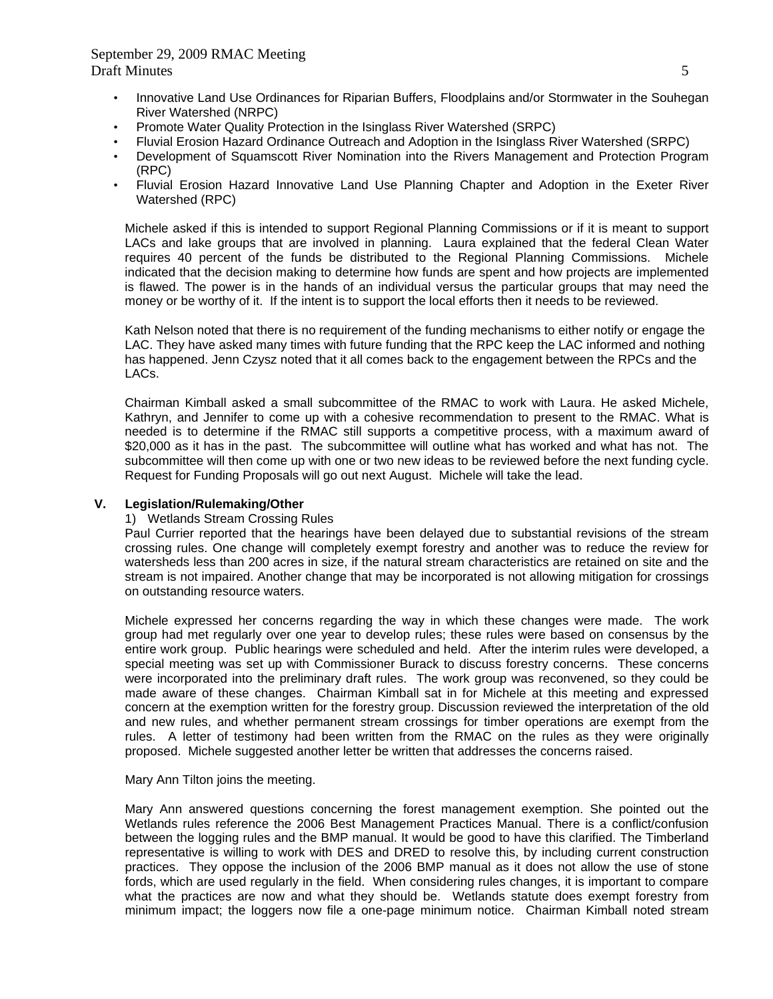- Innovative Land Use Ordinances for Riparian Buffers, Floodplains and/or Stormwater in the Souhegan River Watershed (NRPC)
- Promote Water Quality Protection in the Isinglass River Watershed (SRPC)
- Fluvial Erosion Hazard Ordinance Outreach and Adoption in the Isinglass River Watershed (SRPC)
- Development of Squamscott River Nomination into the Rivers Management and Protection Program (RPC)
- Fluvial Erosion Hazard Innovative Land Use Planning Chapter and Adoption in the Exeter River Watershed (RPC)

Michele asked if this is intended to support Regional Planning Commissions or if it is meant to support LACs and lake groups that are involved in planning. Laura explained that the federal Clean Water requires 40 percent of the funds be distributed to the Regional Planning Commissions. Michele indicated that the decision making to determine how funds are spent and how projects are implemented is flawed. The power is in the hands of an individual versus the particular groups that may need the money or be worthy of it. If the intent is to support the local efforts then it needs to be reviewed.

Kath Nelson noted that there is no requirement of the funding mechanisms to either notify or engage the LAC. They have asked many times with future funding that the RPC keep the LAC informed and nothing has happened. Jenn Czysz noted that it all comes back to the engagement between the RPCs and the LACs.

 Chairman Kimball asked a small subcommittee of the RMAC to work with Laura. He asked Michele, Kathryn, and Jennifer to come up with a cohesive recommendation to present to the RMAC. What is needed is to determine if the RMAC still supports a competitive process, with a maximum award of \$20,000 as it has in the past. The subcommittee will outline what has worked and what has not. The subcommittee will then come up with one or two new ideas to be reviewed before the next funding cycle. Request for Funding Proposals will go out next August. Michele will take the lead.

#### **V. Legislation/Rulemaking/Other**

#### 1) Wetlands Stream Crossing Rules

Paul Currier reported that the hearings have been delayed due to substantial revisions of the stream crossing rules. One change will completely exempt forestry and another was to reduce the review for watersheds less than 200 acres in size, if the natural stream characteristics are retained on site and the stream is not impaired. Another change that may be incorporated is not allowing mitigation for crossings on outstanding resource waters.

Michele expressed her concerns regarding the way in which these changes were made. The work group had met regularly over one year to develop rules; these rules were based on consensus by the entire work group. Public hearings were scheduled and held. After the interim rules were developed, a special meeting was set up with Commissioner Burack to discuss forestry concerns. These concerns were incorporated into the preliminary draft rules. The work group was reconvened, so they could be made aware of these changes. Chairman Kimball sat in for Michele at this meeting and expressed concern at the exemption written for the forestry group. Discussion reviewed the interpretation of the old and new rules, and whether permanent stream crossings for timber operations are exempt from the rules. A letter of testimony had been written from the RMAC on the rules as they were originally proposed. Michele suggested another letter be written that addresses the concerns raised.

#### Mary Ann Tilton joins the meeting.

 Mary Ann answered questions concerning the forest management exemption. She pointed out the Wetlands rules reference the 2006 Best Management Practices Manual. There is a conflict/confusion between the logging rules and the BMP manual. It would be good to have this clarified. The Timberland representative is willing to work with DES and DRED to resolve this, by including current construction practices. They oppose the inclusion of the 2006 BMP manual as it does not allow the use of stone fords, which are used regularly in the field. When considering rules changes, it is important to compare what the practices are now and what they should be. Wetlands statute does exempt forestry from minimum impact; the loggers now file a one-page minimum notice. Chairman Kimball noted stream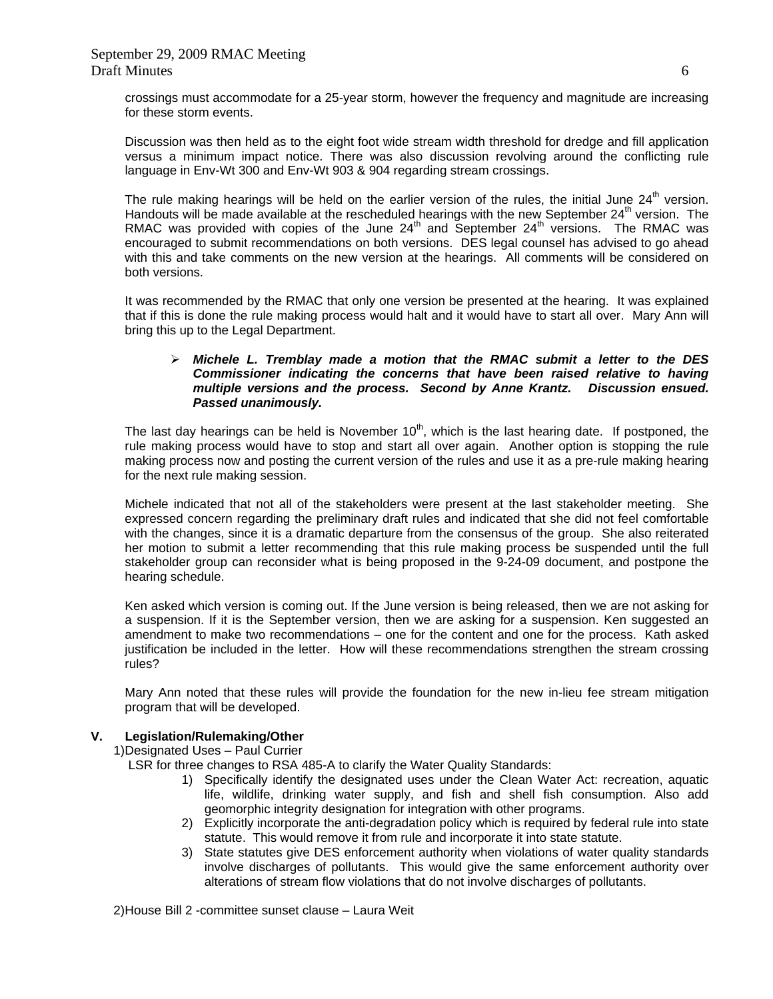crossings must accommodate for a 25-year storm, however the frequency and magnitude are increasing for these storm events.

 Discussion was then held as to the eight foot wide stream width threshold for dredge and fill application versus a minimum impact notice. There was also discussion revolving around the conflicting rule language in Env-Wt 300 and Env-Wt 903 & 904 regarding stream crossings.

The rule making hearings will be held on the earlier version of the rules, the initial June  $24<sup>th</sup>$  version. Handouts will be made available at the rescheduled hearings with the new September 24<sup>th</sup> version. The RMAC was provided with copies of the June  $24<sup>th</sup>$  and September  $24<sup>th</sup>$  versions. The RMAC was encouraged to submit recommendations on both versions. DES legal counsel has advised to go ahead with this and take comments on the new version at the hearings. All comments will be considered on both versions.

 It was recommended by the RMAC that only one version be presented at the hearing. It was explained that if this is done the rule making process would halt and it would have to start all over. Mary Ann will bring this up to the Legal Department.

#### ¾ *Michele L. Tremblay made a motion that the RMAC submit a letter to the DES Commissioner indicating the concerns that have been raised relative to having multiple versions and the process. Second by Anne Krantz. Discussion ensued. Passed unanimously.*

The last day hearings can be held is November  $10<sup>th</sup>$ , which is the last hearing date. If postponed, the rule making process would have to stop and start all over again. Another option is stopping the rule making process now and posting the current version of the rules and use it as a pre-rule making hearing for the next rule making session.

Michele indicated that not all of the stakeholders were present at the last stakeholder meeting. She expressed concern regarding the preliminary draft rules and indicated that she did not feel comfortable with the changes, since it is a dramatic departure from the consensus of the group. She also reiterated her motion to submit a letter recommending that this rule making process be suspended until the full stakeholder group can reconsider what is being proposed in the 9-24-09 document, and postpone the hearing schedule.

Ken asked which version is coming out. If the June version is being released, then we are not asking for a suspension. If it is the September version, then we are asking for a suspension. Ken suggested an amendment to make two recommendations – one for the content and one for the process. Kath asked justification be included in the letter. How will these recommendations strengthen the stream crossing rules?

Mary Ann noted that these rules will provide the foundation for the new in-lieu fee stream mitigation program that will be developed.

# **V. Legislation/Rulemaking/Other**

1)Designated Uses – Paul Currier

LSR for three changes to RSA 485-A to clarify the Water Quality Standards:

- 1) Specifically identify the designated uses under the Clean Water Act: recreation, aquatic life, wildlife, drinking water supply, and fish and shell fish consumption. Also add geomorphic integrity designation for integration with other programs.
- 2) Explicitly incorporate the anti-degradation policy which is required by federal rule into state statute. This would remove it from rule and incorporate it into state statute.
- 3) State statutes give DES enforcement authority when violations of water quality standards involve discharges of pollutants. This would give the same enforcement authority over alterations of stream flow violations that do not involve discharges of pollutants.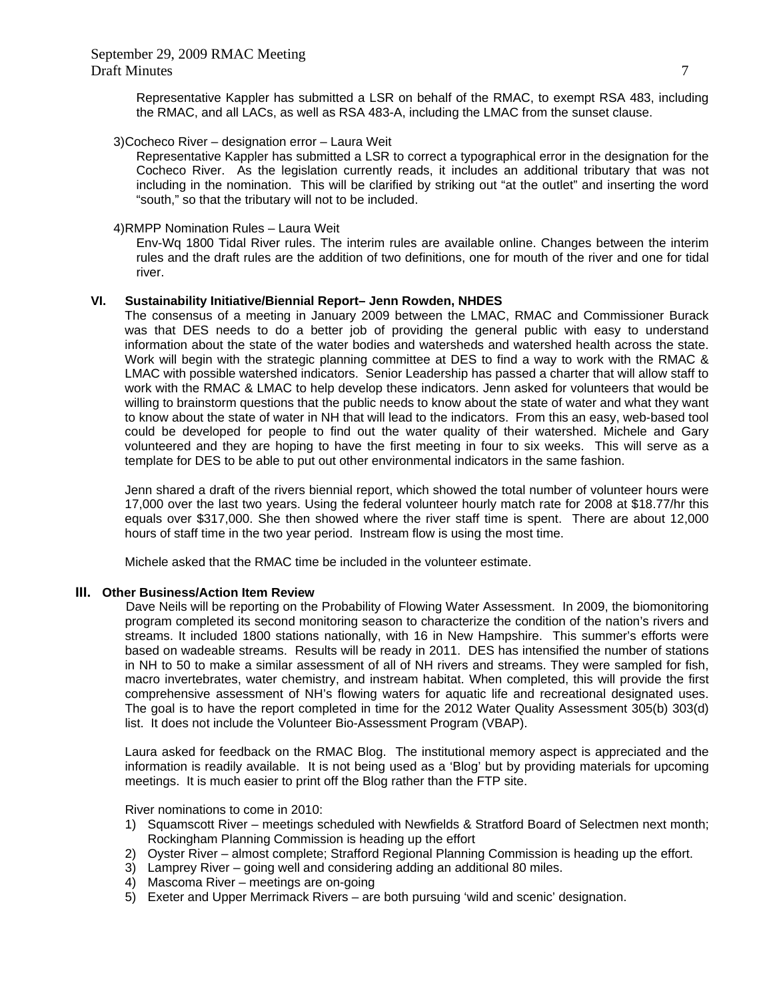Representative Kappler has submitted a LSR on behalf of the RMAC, to exempt RSA 483, including the RMAC, and all LACs, as well as RSA 483-A, including the LMAC from the sunset clause.

3)Cocheco River – designation error – Laura Weit

Representative Kappler has submitted a LSR to correct a typographical error in the designation for the Cocheco River. As the legislation currently reads, it includes an additional tributary that was not including in the nomination. This will be clarified by striking out "at the outlet" and inserting the word "south," so that the tributary will not to be included.

#### 4)RMPP Nomination Rules – Laura Weit

Env-Wq 1800 Tidal River rules. The interim rules are available online. Changes between the interim rules and the draft rules are the addition of two definitions, one for mouth of the river and one for tidal river.

#### **VI. Sustainability Initiative/Biennial Report– Jenn Rowden, NHDES**

The consensus of a meeting in January 2009 between the LMAC, RMAC and Commissioner Burack was that DES needs to do a better job of providing the general public with easy to understand information about the state of the water bodies and watersheds and watershed health across the state. Work will begin with the strategic planning committee at DES to find a way to work with the RMAC & LMAC with possible watershed indicators. Senior Leadership has passed a charter that will allow staff to work with the RMAC & LMAC to help develop these indicators. Jenn asked for volunteers that would be willing to brainstorm questions that the public needs to know about the state of water and what they want to know about the state of water in NH that will lead to the indicators. From this an easy, web-based tool could be developed for people to find out the water quality of their watershed. Michele and Gary volunteered and they are hoping to have the first meeting in four to six weeks. This will serve as a template for DES to be able to put out other environmental indicators in the same fashion.

Jenn shared a draft of the rivers biennial report, which showed the total number of volunteer hours were 17,000 over the last two years. Using the federal volunteer hourly match rate for 2008 at \$18.77/hr this equals over \$317,000. She then showed where the river staff time is spent. There are about 12,000 hours of staff time in the two year period. Instream flow is using the most time.

Michele asked that the RMAC time be included in the volunteer estimate.

#### **III. Other Business/Action Item Review**

Dave Neils will be reporting on the Probability of Flowing Water Assessment. In 2009, the biomonitoring program completed its second monitoring season to characterize the condition of the nation's rivers and streams. It included 1800 stations nationally, with 16 in New Hampshire. This summer's efforts were based on wadeable streams. Results will be ready in 2011. DES has intensified the number of stations in NH to 50 to make a similar assessment of all of NH rivers and streams. They were sampled for fish, macro invertebrates, water chemistry, and instream habitat. When completed, this will provide the first comprehensive assessment of NH's flowing waters for aquatic life and recreational designated uses. The goal is to have the report completed in time for the 2012 Water Quality Assessment 305(b) 303(d) list. It does not include the Volunteer Bio-Assessment Program (VBAP).

 Laura asked for feedback on the RMAC Blog. The institutional memory aspect is appreciated and the information is readily available. It is not being used as a 'Blog' but by providing materials for upcoming meetings. It is much easier to print off the Blog rather than the FTP site.

River nominations to come in 2010:

- 1) Squamscott River meetings scheduled with Newfields & Stratford Board of Selectmen next month; Rockingham Planning Commission is heading up the effort
- 2) Oyster River almost complete; Strafford Regional Planning Commission is heading up the effort.
- 3) Lamprey River going well and considering adding an additional 80 miles.
- 4) Mascoma River meetings are on-going
- 5) Exeter and Upper Merrimack Rivers are both pursuing 'wild and scenic' designation.